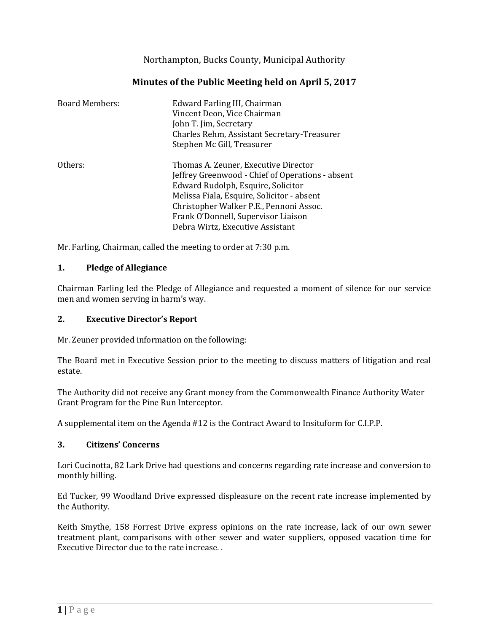Northampton, Bucks County, Municipal Authority

# **Minutes of the Public Meeting held on April 5, 2017**

| <b>Board Members:</b> | Edward Farling III, Chairman<br>Vincent Deon, Vice Chairman<br>John T. Jim, Secretary<br>Charles Rehm, Assistant Secretary-Treasurer<br>Stephen Mc Gill, Treasurer                                                                                                                                 |
|-----------------------|----------------------------------------------------------------------------------------------------------------------------------------------------------------------------------------------------------------------------------------------------------------------------------------------------|
| Others:               | Thomas A. Zeuner, Executive Director<br>Jeffrey Greenwood - Chief of Operations - absent<br>Edward Rudolph, Esquire, Solicitor<br>Melissa Fiala, Esquire, Solicitor - absent<br>Christopher Walker P.E., Pennoni Assoc.<br>Frank O'Donnell, Supervisor Liaison<br>Debra Wirtz, Executive Assistant |

Mr. Farling, Chairman, called the meeting to order at 7:30 p.m.

### **1. Pledge of Allegiance**

Chairman Farling led the Pledge of Allegiance and requested a moment of silence for our service men and women serving in harm's way.

### **2. Executive Director's Report**

Mr. Zeuner provided information on the following:

The Board met in Executive Session prior to the meeting to discuss matters of litigation and real estate.

The Authority did not receive any Grant money from the Commonwealth Finance Authority Water Grant Program for the Pine Run Interceptor.

A supplemental item on the Agenda #12 is the Contract Award to Insituform for C.I.P.P.

#### **3. Citizens' Concerns**

Lori Cucinotta, 82 Lark Drive had questions and concerns regarding rate increase and conversion to monthly billing.

Ed Tucker, 99 Woodland Drive expressed displeasure on the recent rate increase implemented by the Authority.

Keith Smythe, 158 Forrest Drive express opinions on the rate increase, lack of our own sewer treatment plant, comparisons with other sewer and water suppliers, opposed vacation time for Executive Director due to the rate increase. .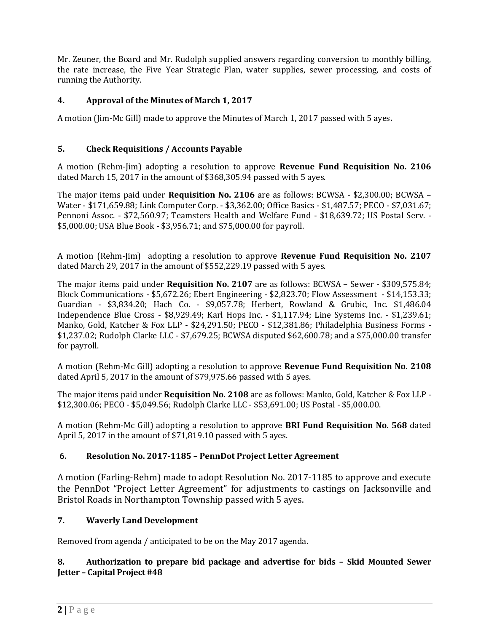Mr. Zeuner, the Board and Mr. Rudolph supplied answers regarding conversion to monthly billing, the rate increase, the Five Year Strategic Plan, water supplies, sewer processing, and costs of running the Authority.

## **4. Approval of the Minutes of March 1, 2017**

A motion (Jim-Mc Gill) made to approve the Minutes of March 1, 2017 passed with 5 ayes**.**

## **5. Check Requisitions / Accounts Payable**

A motion (Rehm-Jim) adopting a resolution to approve **Revenue Fund Requisition No. 2106** dated March 15, 2017 in the amount of \$368,305.94 passed with 5 ayes.

The major items paid under **Requisition No. 2106** are as follows: BCWSA - \$2,300.00; BCWSA – Water - \$171,659.88; Link Computer Corp. - \$3,362.00; Office Basics - \$1,487.57; PECO - \$7,031.67; Pennoni Assoc. - \$72,560.97; Teamsters Health and Welfare Fund - \$18,639.72; US Postal Serv. - \$5,000.00; USA Blue Book - \$3,956.71; and \$75,000.00 for payroll.

A motion (Rehm-Jim) adopting a resolution to approve **Revenue Fund Requisition No. 2107** dated March 29, 2017 in the amount of \$552,229.19 passed with 5 ayes.

The major items paid under **Requisition No. 2107** are as follows: BCWSA – Sewer - \$309,575.84; Block Communications - \$5,672.26; Ebert Engineering - \$2,823.70; Flow Assessment - \$14,153.33; Guardian - \$3,834.20; Hach Co. - \$9,057.78; Herbert, Rowland & Grubic, Inc. \$1,486.04 Independence Blue Cross - \$8,929.49; Karl Hops Inc. - \$1,117.94; Line Systems Inc. - \$1,239.61; Manko, Gold, Katcher & Fox LLP - \$24,291.50; PECO - \$12,381.86; Philadelphia Business Forms - \$1,237.02; Rudolph Clarke LLC - \$7,679.25; BCWSA disputed \$62,600.78; and a \$75,000.00 transfer for payroll.

A motion (Rehm-Mc Gill) adopting a resolution to approve **Revenue Fund Requisition No. 2108** dated April 5, 2017 in the amount of \$79,975.66 passed with 5 ayes.

The major items paid under **Requisition No. 2108** are as follows: Manko, Gold, Katcher & Fox LLP - \$12,300.06; PECO - \$5,049.56; Rudolph Clarke LLC - \$53,691.00; US Postal - \$5,000.00.

A motion (Rehm-Mc Gill) adopting a resolution to approve **BRI Fund Requisition No. 568** dated April 5, 2017 in the amount of \$71,819.10 passed with 5 ayes.

### **6. Resolution No. 2017-1185 – PennDot Project Letter Agreement**

A motion (Farling-Rehm) made to adopt Resolution No. 2017-1185 to approve and execute the PennDot "Project Letter Agreement" for adjustments to castings on Jacksonville and Bristol Roads in Northampton Township passed with 5 ayes.

## **7. Waverly Land Development**

Removed from agenda / anticipated to be on the May 2017 agenda.

## **8. Authorization to prepare bid package and advertise for bids – Skid Mounted Sewer Jetter – Capital Project #48**